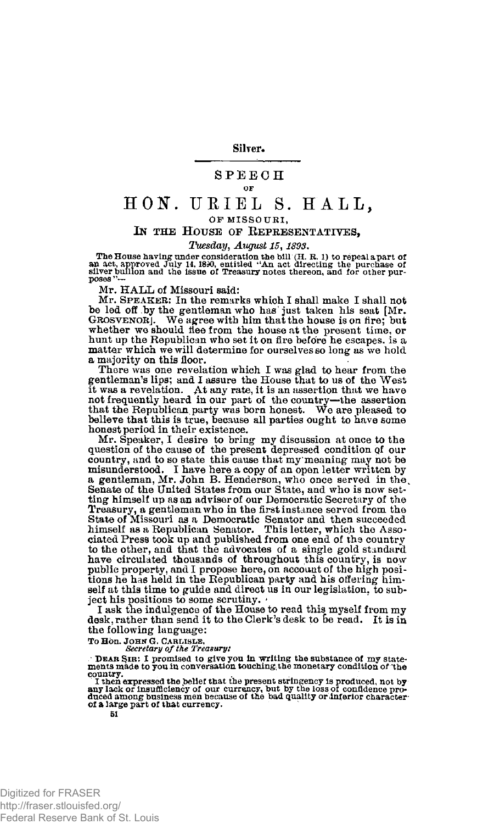**Silver.** 

## **SPEECH** OF

## HON. URIEL S. HALL, OF MISSOURI.

## I**N THE** H**OUSE OF** K**EPRESENTATIVES,**

*Tuesday, August 15,1893.* 

The House having under consideration the bill (H. R. 1) to repeal a part of<br>an act, approved July 14, 1890, entitled "An act directing the purchase of<br>silver builion and the issue of Treasury notes thereon, and for other

Mr. HALL of Missouri said:

Mr. SPEAKER; In the remarks which I shall make I shall not be led off by the gentleman who has just taken his seat [Mr. GROSVENOR]. We agree with him that the house is on fire; but whether we should flee from the house at the present time, or hunt up the Republican who set it on fire before he escapes, is a matter which we will determine for ourselves so long as we hold a majority on this floor.

There was one revelation which I was glad to hear from the gentleman's lips; and I assure the House that to us of the West it was a revelation. At any rate, it is an assertion that we have not frequently heard in our part of the country—the assertion that the Republican party was born honest. We are pleased to believe that this is true, because all parties ought to have some honest period in their existence.

Mr. Speaker, I desire to bring my discussion at once to the question of the cause of the present depressed condition **Qf** our country, and to so state this cause that my\* meaning may not be misunderstood. I have here a copy of an open letter written by a gentleman, Mr. John B. Henderson, who once served in the. Senate of the United States from our State, and who is now setting himself up as an adviser of our Democratic Secretary of the Treasury, a gentleman who in the first instance served from the State of Missouri as a Democratic Senator and then succeeded himself as a Republican Senator. This letter, which the Associated Press took up and published from one end of the country to the other, and that the advocates of a single gold standard have circulated thousands of throughout this country, is now public property, and I propose here, on account of the high positions he has held in the Republican party and his offering himself at this time to guide and direct us in our legislation, to subject his positions to some scrutiny.

I ask the indulgence of the House to read this myself from my desk, rather than send it to the Clerk's desk to be read. It is in the following language:

**To Hon. J**OHN **G. C**ARLISLE, *Secretary of the Treasury:* 

 $\therefore$  DEAR SIR: I promised to give you in writing the substance of my state-ments made to you in conversation touching the monetary condition of the country. I then expressed the belief that the present stringency is prod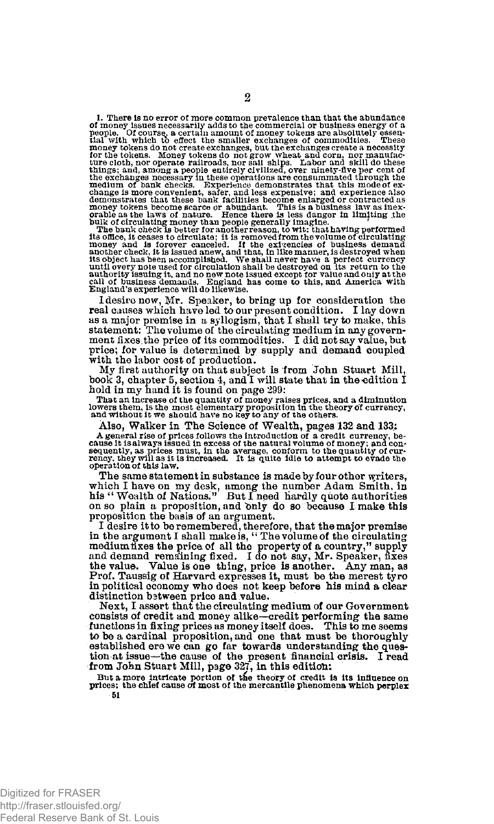1. There is no error of more common prevalence than that the abundance of monoy issues necessarily adds to the commercial or business energy of a pooline. Of monoy issues necessarily adds to the smaller exchanges are abso

I desire now, Mr. Speaker, to bring up for consideration the real causes which have led to our present condition. I lay down as a major premise in a syllogism, that I shall try to make, this<br>statement: The volume of the circulating medium in any government fixes the price of its commodities. I did not say value, but<br>ment fixes the price of its c with the labor cost of production.

My first authority on that subject is from John Stuart Mill, book 3, chapter 5, section 4, and I will state that in the edition I

hold in my hand it is found on page 299:<br>That an increase of the quantity of money raises prices, and a diminution<br>lowers them, is the most elementary proposition in the theory of currency,<br>and without it we should have no

Also, Walker in The Science of Wealth, pages 132 and 133,:

A general rise of prices follows the introduction of a credit currency, because it is always issued in excess of the natural volume of money; and concessed in sequently, as prices must, in the average, conform to the quan

The same statement in substance is made by four other writers, which I have on my desk, among the number Adam Smith, in his " Wealth of Nations." But I need hardly quote authorities on so plain a proposition, and bnly do so because I make this proposition the basis of an argument. I desire it to be remembered, therefore, that the major premise

in the argument I shall make is, " The volume of the circulating mediumlixes the price of all the property of a country," supply and demand remaining fixed. I do not say, Mr. Speaker, fixes the value. Value is one thing, price is another. Any man, as Prof. Taussig of Harvard expresses it, must be the merest tyro in political economy who does not keep before his mind a clear distinction bstween price and value.

Next, I assert that the circulating medium of our Government consists of credit and money alike—credit performing the same functions in fixing prices as money itself does. This to me seems to be a cardinal proposition, and one that must be thoroughly established ere we can go far towards understanding the question at issue—the cause of the present financial crisis. I read from John Stuart Mill, page 327, in this edition:

**But a more intricate portion or the theory of credit is its influence on prices; the chief cause** *at* **most of the mercantile phenomena which perplex 51**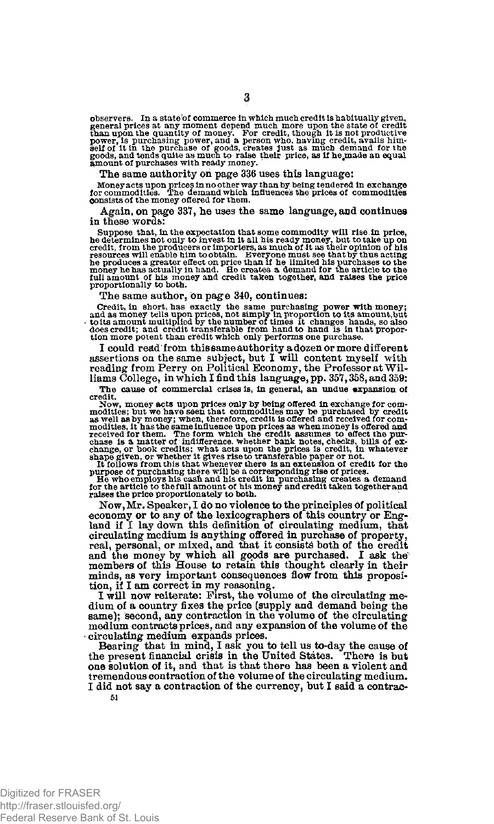observers. In a state'of commerce in which much credit is habitually given, general prices at any moment depend much more upon the state of credit than upon the quantity of money. For credit, though it is not productive po

The same authority on page 336 uses this language:

**Money acts upon prices in no other way than by being tendered in exchange for commodities. The demand which Influences the prices of commodities consists of the money offered for them.** 

Again, on page 337, he uses the same language, and continues in these words:

Suppose that, in the expectation that some commodity will rise in price, he determines not only to invest in it all his ready money, but to take up on credit, from the producers or importers, as much of it as their opinio

The same author, on page 340, continues:

Credit, in short, has exactly the same purchasing power with money;<br>and as money tells upon prices, not simply in proportion to its amount,<br>but to its amount multiplied by the number of times it changes hands, so also<br>toes

I could read from this same authority a dozen or more different assertions on the same subject, but I will content myself with reading from Perry on Political Economy, the Professor at Williams College, in which I find this language, pp. 357, 358, and 359:

**The cause of commercial crises is, in general, an undue expansion of** 

credit. Now, money acts upon prices only by being offered in exchange for commodities; but we have seen that commodities may be purchased by credit modities, it has the same influence upon prices as when money is offered a

Now, Mr. Speaker, I do no violence to the principles of political economy or to any of the lexicographers of this country or Eng-land if I lay down this definition of circulating medium, that circulating medium is anything offered in purchase of property, real, personal, or mixed, and that it consists both of the credit and the money by which all goods are purchased. I ask the members of this House to retain this thought clearly in their minds, as very important consequences flow from this proposition, if I am correct in my reasoning.

I will now reiterate: First, the volume of the circulating medium of a country fixes the price (supply and demand being the same); second, any contraction in the volume of the circulating medium contracts prices, and any expansion of the volume of the circulating medium expands prices.

Bearing that in mind, I ask you to tell us to-day the cause of the present financial crisis in the United States. There is but one solution of it, and that is that there has been a violent and tremendous contraction of the volume of the circulating medium. I did not say a contraction of the currency, but I said a contrac-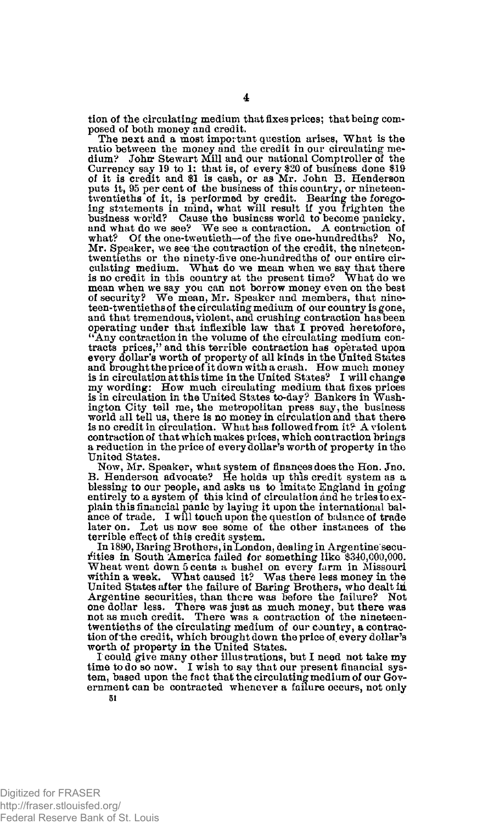tion of the circulating medium that fixes prices; that being composed of both money and credit.

The next and a most impor tant question arises, What is the ratio between the money and the credit in our circulating medium? John Stewart Mill and our national Comptroller of the Currency say 19 to 1; that is, of every \$20 of business done  $$19$ of it is credit and \$1 is cash, or as Mr. John B. Henderson puts it, 95 per cent of the business of this country, or nineteentwentieths of it, is performed by credit. Bearing the foregoing statements in mind, what will result if you frighten the business world? Cause the business world? Cause the business world? Cause and what do we see? We see what? Of the one-twentieth—of the five one-hundredths? No, Mr. Speaker, we see-the contraction of the credit, the nineteentwentieths or the ninety-five one-hundredths of our entire cir-culating medium. What do we mean when we say that there is no credit in this country at the present time? What do we mean when we say you can not borrow money even on the best of security? We mean, Mr. Speaker and members, that nineteen-twentieths of the circulating medium of our country is gone, and that tremendous, violent, and crushing contraction has been, operating under that inflexible law that I proved heretofore, "Any contraction in the volume of the circulating medium contracts prices," and this terrible contraction has operated upon every dollar's worth of property of all kinds in the United States and brought the price of it down with a crash. How much money is in circulation at this time in the United States? I will change my wording: How much circulating medium that fixes prices is in circulation in the United States to-day? Bankers in Washington City tell me, the metropolitan press say, the business world all tell us, there is no money in circulation and that there is no credit in circulation. What has followed from it? A violent contraction of that which makes prices, which contraction brings a reduction in the price of every dollar's worth of property in the United States.

Now, Mr. Speaker, what system of finances does the Hon. Jno.<br>B. Henderson advocate? He holds up this credit system as a blessing to our people, and asks us to imitate England in going entirely to a system of this kind of circulation and he tries to explain this financial panic by laying it upon the international balance of trade. I will touch upon the question of balance of trade later on. Let us now see some of the other instances of the terrible effect of this credit system.

In 1890, Baring Brothers, in London, dealing in Argentine securities in South America failed for something like \$340,000,000. Wheat went down 5 cents a bushel on every farm in Missouri within a week. What caused it? Was there less money in the United States after the failure of Baring Brothers, who dealt in Argentine securities, than there was before the failure? Not one dollar less. There was just as much money, but there was no<br>not as much credit. There was a twentieths of the circulating medium of our country, a contraction of the credit, which brought down the price of every dollar's worth of property in the United States.

I could give many other illustrations, but I need not take my time to do so now. I wish to say that our present financial system, based upon the fact that the circulating medium of our Government can be contracted whenever a failure occurs, not only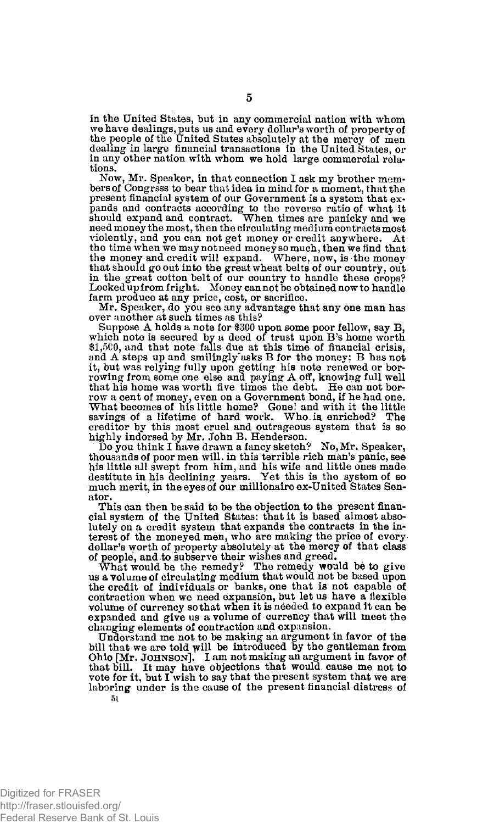in the United States, but in any commercial nation with whom we have dealings, puts us and every dollar's worth of property of the people of the United States absolutely at the mercy of men dealing in large financial transactions in the United States, or in any other nation with whom we hold large commercial relations.

Now, Mr. Speaker, in that connection I ask my brother members of Congress to bear that idea in mind for a moment, that the present financial system of our Government is a system that expands and contracts according to the reverse ratio of what it should expand and contract. When times are panicky and we need money the most, then the circulating medium contracts most violently, and you can not get money or credit anywhere. At the time when we may not need money so much, then we find that the money and credit will expand. Where, now, is the money that should go out into the great wheat belts of our country, out in the great cotton belt of our country to handle these crops? Locked up from fright. Money can not be obtained now to handle farm produce at any price, cost, or sacrifice.

Mr. Speaker, do you see any advantage that any one man has over another at such times as this?

Suppose A holds a note for \$300 upon some poor fellow, say B, which note is secured by a deed of trust upon B's home worth \$1,5C0, and that note falls due at this time of financial crisis, and A steps up and smilingly'asks B for the money; B has not it, but was relying fully upon getting his note renewed or bor-rowing from some one else and paying A off, knowing full well that his home was worth five times the debt. He can not borrow a cent of money, even on a Government bond, if he had one. What becomes of his little home? Gone! and with it the little savings of a lifetime of hard work. Who.ia enriched? The creditor by this most cruel and outrageous system that is so highly indorsed by Mr. John B. Henderson.

Do you think I have drawn a fancy sketch? No, Mr. Speaker, thousands of poor men will, in this terrible rich man's panic, see his little all swept from him, and his wife and little ones made destitute in his declining years. Yet this is the system of so much merit, in the eyes of our millionaire ex-United States Senator.

This can then be said to be the objection to the present financial system of the United States: that it is based almost absolutely on a credit system that expands the contracts in the interest of the moneyed men, who are making the price of every dollar's worth of property absolutely at the mercy of that class of people, and to subserve their wishes and greed.

What would be the remedy? The remedy would be to give us a volume of circulating medium that would not be based upon the credit of individuals or banks, one that is not capable of contraction when we need expansion, but let us have a flexible volume of currency so that when it is needed to expand it can be expanded and give us a volume of currency that will meet the changing elements of contraction and expansion.

Understand me not to be making an argument in favor of the bill that we are told will be introduced by the gentleman from Ohio [Mr. JOHNSON]. I am not making an argument in favor of that bill. It may have objections that would cause me not to vote for it, but I wish to say that the present system that we are laboring under is the cause of the present financial distress of **51**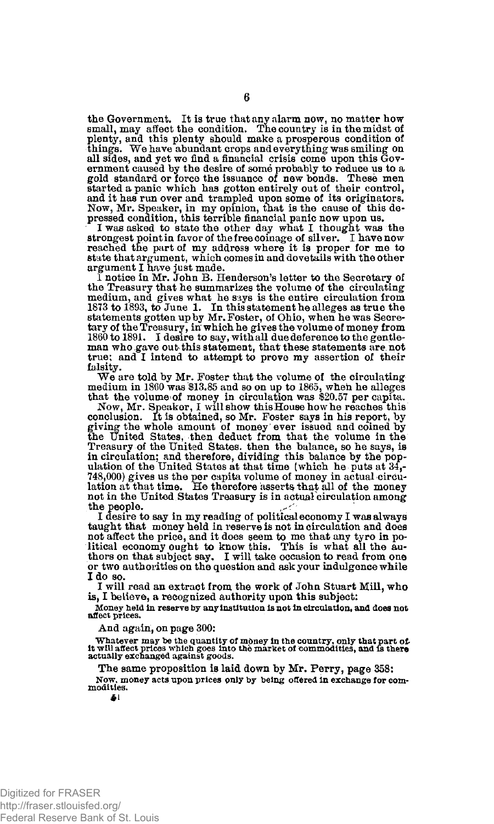the Government. It is true that any alarm now, no matter how small, may affect the condition. The country is in the midst of plenty, and this plenty should make a prosperous condition of things. We have abundant crops and everything was smiling on all sides, and yet we find a financial crisis come upon this Government caused by the desire of some probably to reduce us to a gold standard or force the issuance of new bonds. These men started a panic which has gotten entirely out of their control, and it has run over and trampled upon some of its originators. Now, Mr. Speaker, in my opinion, that is the cause of this de-pressed condition, this terrible financial panic now upon us.

I was asked to state the other day what I thought was the strongest point in favor of the free coinage of silver. I have now reached the part of my address where it is proper for me to state that argument, which comes in and dovetails with the other argument I have just made.

1 notice in Mr. John B. Henderson's letter to the Secretary of the Treasury that he summarizes the volume of the circulating medium, and gives what he says is the entire circulation from<br>1873 to 1893, to June 1. In this statement he alleges as true the<br>statements gotten up by Mr. Foster, of Ohio, when he was Secretary of the Treasury, in' which he gives the volume of money from 1860 to 1891. I desire to say, with all due deference to the gentleman who gave out this statement, that these statements are not true; and I intend to attempt to prove my assertion of their falsity.

We are told by Mr. Foster that the volume of the circulating medium in 1860 was \$13.85 and so on up to 1865, when he alleges

that the volume of money in circulation was \$20.57 per capita. Now, Mr. Speaker, I will show this House how he reaches this conclusion. It is obtained, so Mr. Foster says in his report, by giving the whole amount of money ever issued and coined by the United States, then deduct from that the volume in the Treasury of the United States, then the balance, so he says, is in circulation; and therefore, dividing this balance by the population of the United States at that time (which he puts at 34,-748,000) gives us the por capita volume of money in actual circulation.<br>T48,000) gives us the p not in the United States Treasury is in actual circulation among the people.

I desire to say in my reading of political economy I was always taught that money held in reserve is not in circulation and does not affect the price, and it does seem to me that any tyro in po-litical economy ought to know this. This is what all the au-thors on that subject say. I will take occasion to read from one or two authorities on the question and ask your indulgence while I do so.

I will read an extract from the work of John Stuart Mill, who is, I believe, a recognized authority upon this subject:

**Money held in reserve by any Institution is not In circulation, and does not aflect prices.** 

And again, on page 300:

**Whatever may be the quantity of money in the country, only that part of it will affect prices which goes into the market of commodities, and is there actually exchanged against goods.** 

The same proposition is laid down by Mr. Perry, page 358:

**Now, money acts upon prices only by being offered in exchange for com-modities.** 

**£1** 

**6**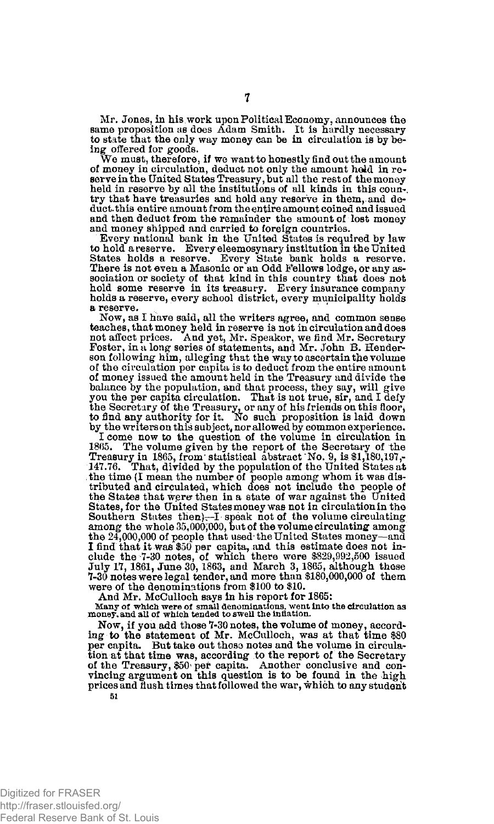Mr. Jones, in his work upon Political Economy, announces the same proposition as does Adam Smith. It is hardly necessary to state that the only way money can be in circulation is by be-

ing offered for goods. We must, therefore, if we want to honestly find out the amount of money in circulation, deduct not only the amount heid in reserve in the United States Treasury, but all the rest of the money held in reserve by all the institutions of all kinds in this country that have treasuries and hold any reserve in them, and deduct, this entire amount from the entire amount coined and issued and then deduct from the remainder the amount of lost money and money shipped and carried to foreign countries.

Every national bank in the United States is required by law to hold a reserve. Every eleemosynary institution in the United<br>States holds a reserve. Every State bank holds a reserve.<br>There is not even a Masonic or an Odd Fellows lodge, or any association or society of that kind in this country that does not hold some reserve in its treasury. Every insurance company holds a reserve, every school district, every municipality holds a reserve.

Now, as I have said, all the writers agree, and common sense teaches, that money held in reserve is not in circulation and does not affect prices. And yet, Mr. Speaker, we find Mr. Secretary Foster, in a long series of statements, and Mr. John B. Henderson following him, alleging that the way to ascertain the volume of the circulation per capita is to deduct from the entire amount of money issued the amount held in the Treasury and divide the balance by the population, and that process, they say, will give you the per capita circulation. That is not true, sir, and I defy the Secretary of the Treasury, or any of his friends on this floor,<br>to find any authority for it. No such proposition is laid down<br>by the writers on this subject, nor allowed by common experience.

I come now to the question of the volume in circulation in 1865. The volume given by the report of the Secretary of the Treasury in 1865, from' statistical abstract'No. 9, is \$1,180,197,- 147.76. That, divided by the population of the United States at the time (I mean the number of people among whom it was distributed and circulated, which does not include the people of the States that were then in a state of war against the United States, for the United States money was not in circulation in the Southern States then)—I speak not of the volume circulating among the whole 35,000,000, but of the volume circulating among the 24,000,000 of people that used-the United States money—and I find that it was \$50 per capita, and this estimate does not in-clude the 7-30 notes, of which there were \$829,992,500 issued July 17,1861, June 30,1863, and March 3,1865, although these 7-30 notes were legal tender, and more than \$180,000,000 of them were of the denominations from \$100 to \$10.

And Mr. McCulloch says in his report for 1865:

**Many of which were of small denominations, went into the circulation as money, and all of which tended to swell the inflation.** 

Now, if you add those 7-30 notes, the volume of money, according to the statement of Mr. McCulloch, was at that time \$80 per capita. But take out those notes and the volume in circulation at that time was, according to the report of the Secretary<br>of the Treasury, \$50 per capita. Another conclusive and con-<br>vincing argument on this question is to be found in the high<br>prices and flush times that followed 51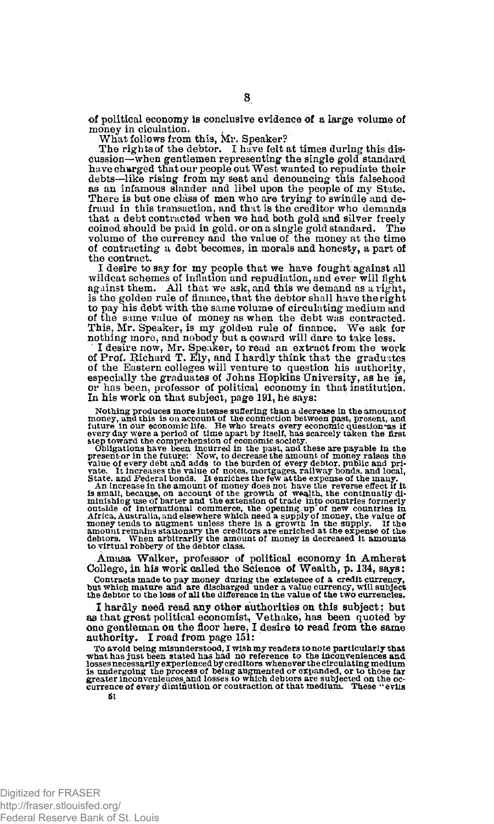of political economy is conclusive evidence of a large volume of money in ciculation.

What follows from this, Mr. Speaker?

The rights of the debtor. I have felt at times during this discussion—when gentlemen representing the single gold standard ha ve charged that our people out West wanted to repudiate their debts—like rising from my seat and denouncing this falsehood as an infamous slander and libel upon the people of my State. There is but one class of men who are trying to swindle and defraud in this transaction, and that is the creditor who demands that a debt contracted when we had both gold and silver freely coined should be paid in gold, or on a single gold standard. The volume of the currency and the value of the money at the time of contracting a debt becomes, in morals and honesty, a part of the contract.

I desire to say for my people that we have fought against all wildcat schemes of inflation and repudiation, and ever will fight against them. All that we ask, and this we demand as a right, is the golden rule of finance, that the debtor shall have the right to pay his debt with the same volume of circulating medium and<br>of the same value of money as when the debt was contracted.<br>This, Mr. Speaker, is my golden rule of finance. We ask for<br>nothing more, and nobody but a coward w

' I desire now, Mr. Speaker, to read an extract from the work of Prof. Richard T. Ely, and I hardly think that the graduates of the Eastern colleges will venture to question his authority, especially the graduates of Johns Hopkins University, as he is, or has been, professor of political economy in that institution. In his work on that subject, page 191, he says:

Nothing produces more intense suffering than a decrease in the amount of money, and this is on account of the connection between past, present, and future in our economic life. He who treats every economic question as if e

Amasa Walker, professor of political economy in Amherst College, in his work called the Science of Wealth, p. 134, says:

Contracts made to pay money during the existence of a credit currency,<br>but which mature and are discharged under a value currency, will subject<br>the debtor to the loss of all the difference in the value of the two currencie

I hardly need read any other authorities on this subject; but as that great political economist, Vethake, has been quoted by one gentleman on the floor here, I desire to read from the same authority. I read from page 151:

To avoid being misunderstood, I wish my readers to note particularly that what has just been stated has had no reference to the inconveniences and losses necessarily experienced by creditors whenever the circulating medium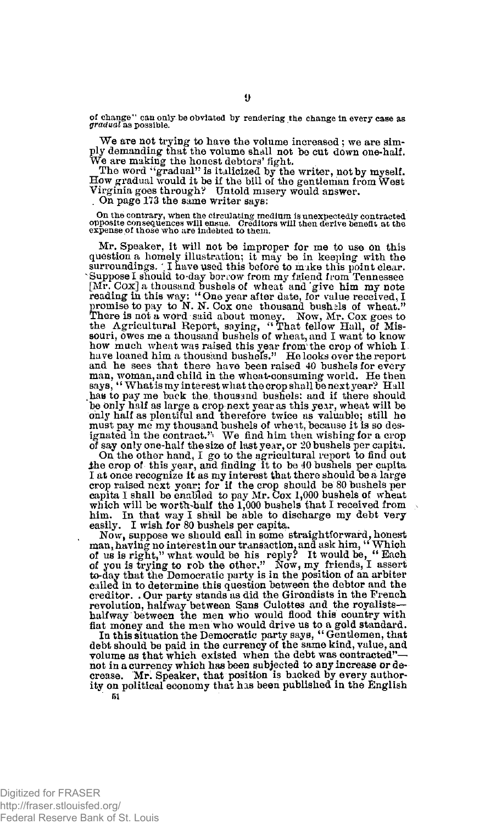**of change" can only toe obviated by rendering the change in every case as**  *gradual* **as possible.** 

We are not trying to have the volume increased; we are simply demanding that the volume shall not be cut down one-half. We are making the honest debtors' fight.

The word "gradual" is italicized by the writer, not by myself. How gradual would it be if the bill of the gentleman from West Virginia goes through? Untold misery would answer.

. On page 173 the same writer says:

On the contrary, when the circulating medium is unexpectedly contracted<br>opposite consequences will ensue. Creditors will then derive benefit at the<br>expense of those who are indebted to them.

Mr. Speaker, it will not be improper for me to use on this question a homely illustration; it may be in keeping with the surroundings. 'I have used this before to make this point clear. Suppose I should to-day borrow from my fitfend from Tennessee [Mr. Cox] a thousand bushels of wheat and give him my note reading in this way: "One year after date, for value received, I promise to pay to N. N. Cox one thousand bushels of wheat."<br>There is not a word said about money. souri, owes me a thousand bushels of wheat, and I want to know how much wheat was raised this year from the crop of which I have loaned him a thousand bushefs." He looks over the report and he sees that there have been raised 40 bushels for every man, woman, and child in the wheat-consuming world. He then says, " What is my interest what the crop shall be next year? Hall has to pay me back the, thousand bushels; and if there should be only half as large a crop next year as this year, wheat will be only half as plentiful and therefore twice as valuable; still he must pay me my thousand bushels of wheit, because it is so des-ignated in the contract."' We find him then wishing for a crop of say only one-half the size of last year, or 20 bushels per capita.

On the other hand, I go to the agricultural report to find out the crop of this year, and finding it to be 40 bushels per capita I at once recognize it as my interest that there should be a large crop raised next year; for if the crop should be 80 bushels per capita I shall be enabled to pay Mr. Cox 1,000 bushels of wheat<br>which will be worth-half the 1,000 bushels that I received from<br>him. In that way I shall be able to discharge my debt very<br>easily. I wish for 80 bushels per c

Now, suppose we should call in some straightforward, honest man, having no interestin our transaction, and ask him, "Which<br>of us is right," what would be his reply? It would be, "Each<br>of you is trying to rob the other." Now, my friends, I assert<br>to-day that the Democratic party is called in to determine this question between the debtor and the creditor. . Our party stands as did the Girondists in the French revolution, halfway between Sans Culottes and the royalistshalfway between the men who would flood this country with fiat money and the men who would drive us to a gold standard.

In this situation the Democratic party says, " Gentlemen, that debt should be paid in the currency of the same kind, value, and volume as that which existed when the debt was contracted" not in a currency which has been subjected to any increase or decrease. Mr. Speaker, that position is backed by every author-<br>ity on political economy that has been published in the English<br>
<sup>51</sup>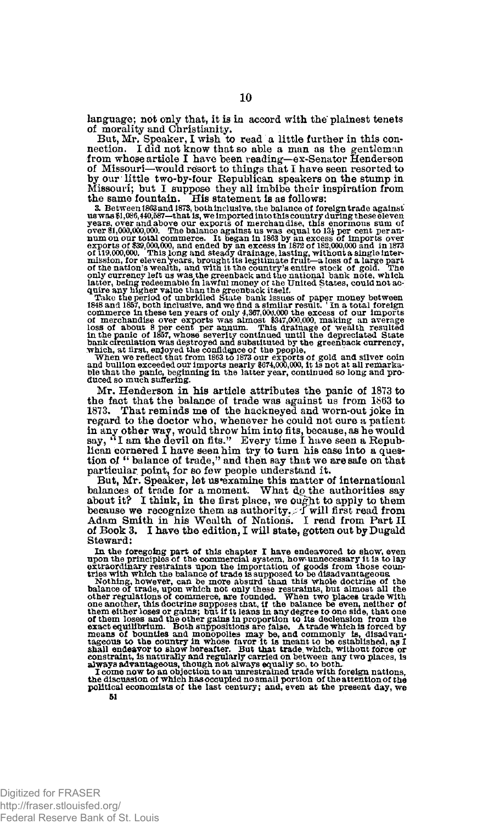language; not only that, it is in accord with the plainest tenets of morality and Christianity.

But, Mr, Speaker, I wish to read a little further in this connection. I did not know that so able a man as the gentleman from whose article I have been reading—ex-Senator Henderson of Missouri—would resort to things that I have seen resorted to by our little two-by-four Republican speakers on the stump in

Missouri; but I suppose they all imbibe their inspiration from<br>the same fountain. His statement is as follows:<br>a Between f863 and 1873, both melusive, the balance of oreign trade against<br>us was \$1,06%,40,637–that is, welmp

Mr. Henderson in his article attributes the panic of 1873 to the fact that the balance of trade was against us from 1863 to 1873. That reminds me of the hackneyed and worn-out joke in regard to the doctor who, whenever he could not cure a patient in any other way, would throw him into fits, because, as he would say, " I am the devil on fits." Every time I have seen a Republican cornered I have seen him try to turn his case into a ques-tion of " balance of trade," and then say that we are safe on that particular point, for so few people understand it.

But, Mr. Speaker, let us'examine this matter of international balances of trade for a moment. What dp the authorities say about it? I think, in the first place, we ought to apply to them because we recognize them as authority. I will first read from Adam Smith in his Wealth of Nations. I read from Part II of Book 3. I have the edition, I will state, gotten out by Dugald Steward:

In the foregoing part of this chapter I have endeavered to show, even<br>upon the principles of the commercial system, how unnecessary it is to lay<br>extraordinary restraints upon the importation of goods from those coun-<br>trie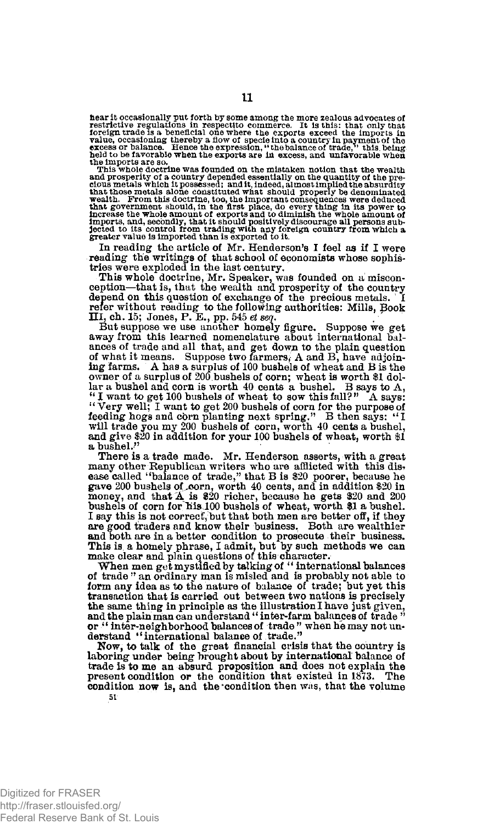hear it occasionally put forth by some among the more zealous advocates of<br>restrictive regulations in respectito commerce. It is this: that only that<br>foreign trade is a beneficial one where the exports exceed the imports i

the imports are so,<br>This whole doctrine was founded on the mistaken notion that the wealth<br>and prosperity of a country depended essentially on the quantity of the pre-<br>cluva metals which it possessed; and it, indeed, almos **imports, and, secondly, that it should positively discourage all persons sub-jected to its control from trading with any foreign country from which a greater value is imported than is exported to it.** 

In reading the article of Mr. Henderson's I feel as if I were reading the writings of that school of economists whose sophis-tries were exploded in the last century.

This whole doctrine, Mr. Speaker, was founded on a miscon-ception—that is, that the wealth and prosperity of the country depend on this question of exchange of the precious metals. refer without reading to the following authorities: Mills, pook HI, ch. 15; Jones, P. E., pp. 545 *et seq.* 

But suppose we use another homely figure. Suppose we get away from this learned nomenclature about international balances of trade and all that, and get down to the plain question of what it means. Suppose two farmers, A and B, have adjoining farms. A has a surplus of 100 bushels of wheat and B is the owner of a surplus of 200 bushels of corn; wheat is worth \$1 dollar a bushel and corn is worth 40 cents a bushel. B says to A, <sup>41</sup> I want to get 100 bushels of wheat to sow this fall? " A says: " Very well; I want to get 200 bushels of corn for the purpose of feeding hogs and corn planting next spring." B then says: <sup>U</sup> I will trade you my 200 bushels of corn, worth 40 cents a bushel, and give \$20 in addition for your 100 bushels of wheat, worth \$1 a bushel."

There is a trade made. Mr. Henderson asserts, with a great many other Republican writers who are afflicted with this dist ease called ''balance of trade," that B is \$20 poorer, because he gave 200 bushels of-corn, worth 40 cents, and in addition \$20 in money, and that & is \$20 richer, because he gets \$20 and 200 bushels of corn for His 100 bushels of wheat, worth \$1 a bushel. I say this is not correcf, but that both men are better off, if they are good traders and know their business. Both are wealthier and both are in a better condition to prosecute their business. This is. a homely phrase, I admit, but by such methods we can make clear and plain questions of this character.

When men get mystified by talking of " international balances of trade " an ordinary man is misled and is probably not able to form any idea as to the nature of balance of trade; but yet this transaction that is carried out between two nations is precisely the same thing in principle as the illustration I have just given, and the plain man can understand " inter-farm balances of trade " or " inter-neighborhood balances of trade " when he may not understand "international balance of trade."

Now, to talk of the great financial crisis that the country is laboring under being brought about by international balance of trade is to me an absurd proposition and does not explain the present condition or the condition that existed in 1873. condition now is, and the condition then was, that the volume 51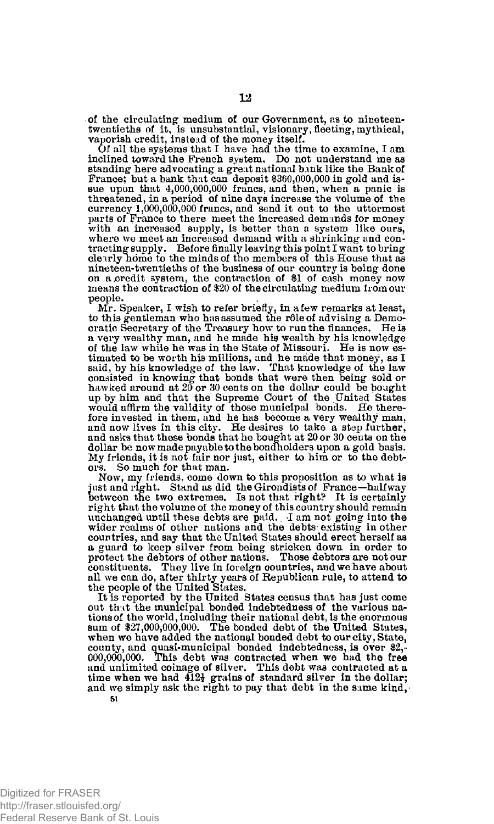of the circulating medium of our Government, as to nineteentwentieths of it, is unsubstantial, visionary, fleeting, mythical, vaporish credit, instead of the money itself.

Of all the systems that I have had the time to examine, I am inclined toward the French system. Do not understand me as standing here advocating a great national bank like the Bank of France; but a bank that can deposit \$360,000,000 in gold and is-sue upon that 4,000,000,000 francs, and then, when a panic is threatened, in a period of nine days increase the volume of the currency 1,000,000,000 francs, and send it out to the uttermost parts of France to there meet the increased demands for money with an increased supply, is better than a system like ours, where we meet an increased demand with a shrinking and contracting supply. Before finally leaving this point I want to bring clearly home to the minds of the members of this House that as nine teen-twentieths of the business of our country is being done on a credit system, the contraction of \$1 of cash money now means the contraction of \$20 of the circulating medium from our people.

Mr. Speaker, I wish to refer briefly, in a few remarks at least, to this gentleman who has assumed the rôle of advising a Democratic Secretary of the Treasury how to run the finances. He is a very wealthy man, and he made his wealth by his knowledge of the law while he was in the State of Missouri. He is now estimated to be worth his millions, and he made that money, as I said, by his knowledge of the law. That knowledge of the law<br>consisted in knowing that bonds that were then being sold or<br>hawked around at 20 or 30 cents on th up by him and that the Supreme Court of the United States would affirm the validity of those municipal bonds. He therefore invested in them, and he has become a very wealthy man. and now lives in this city. He desires to take a step further, and asks that these bonds that he bought at 20 or 30 cents on the dollar be now made payable to the bondholders upon a gold basis. My friends, it is not fair nor just, either to him or to the debtors. So much for that man.

Now, my friends, come down to this proposition as to what is just and right. Stand as did the Girondists of France—halfway<br>between the two extremes. Is not that right? It is certainly right that the volume of the money of this country should remain unchanged until these debts are paid. I am not going into the wider realms of other nations and the debts existing in other countries, and say that the United States should erect herself as a guard to keep silver from being stricken down in order to protect the debtors of other nations. Those debtors are notour constituents. They live in foreign countries, and we have about all we can do, after thirty years of Republican rule, to attend to the people of the United States.

It is reported bv the United States census that has just come out that the municipal bonded indebtedness of the various nations of the world, including their national debt, is the enormous sum of \$27,000,000,000. The bonded debt of the United States, when we have added the national bonded debt to our city, State, county, and quasi-municipal bonded indebtedness, is over \$2,-000,000,000. This debt was contracted when we had the free and unlimited at a time when we had  $412\frac{1}{2}$  grains of standard silver in the dollar; and we simply ask the right to pay that debt in the same kind,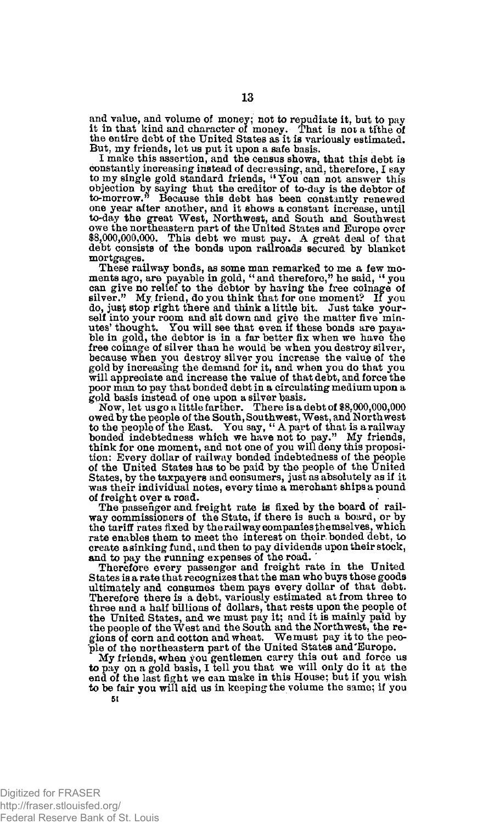and value, and volume of money; not to repudiate it, but to pay it in that kind and character of money. That is not a tithe of the entire debt of the United States as it is variously estimated. But, my friends, let us put it upon a safe basis. I make this assertion, and the census shows, that this debt is

constantly increasing instead of decreasing, and, therefore, I say to my single gold standard friends, " You can not answer this objection by saying that the creditor of to-day is the debtor of to-morrow." Because this debt has been constantly renewed one year after another, and it shows a constant increase, until to-day the great West, Northwest, and South and Southwest owe the northeastern part of the United States and Europe over \$8,000,000,000. This debt we must pay. A great deal of that debt consists of the bonds upon railroads secured by blanket mortgages.

These railway bonds, as some man remarked to me a few moments ago, are payable in gold, "and therefore," he said, "you can give no relief to the debtor by having the free coinage of silver." My friend, do you think that for one moment? If you do, just stop right there and think a little bit. Just take yourself into your room and sit down and give the matter five minutes' thought. You will see that even if these bonds are payable in gold, the debtor is in a far better fix when we have the free coinage of silver than he would be when you destroy silver, because when you destroy silver you increase the value of the gold by increasing the demand for it, and when you do that you will appreciate and increase the value of that debt, and force the poor man to pay that bonded debt in a circulating medium upon a gold basis instead of one upon a silver basis.

 $\checkmark$  Now, let us go a little farther. There is a debt of \$8,000,000,000<br>owed by the people of the South, Southwest, West, and Northwest<br>to the people of the East. You say, " A part of that is a railway bonded indebtedness which we have not to pay." My friends, think for one moment, and not one of you will deny this proposition: Every dollar of railway bonded indebtedness of the people of the United States has to be paid by the people of the United States, by the taxpayers and consumers, just as absolutely as if it was their individual notes, every time a merchant ships a pound of freight over a road.

The passenger and freight rate is fixed by the board of railway commissioners of the State, if there is such a board, or by the tariff rates fixed by the railway companies themselves, which rate enables them to meet the interest on their bonded debt, to create a sinking fund, and then to pay dividends upon their stock, and to pay the running expenses of the road.

Therefore every passenger and freight rate in the United States is a rate that recognizes that the man who buys those goods ultimately and consumes them pays every dollar of that debt. Therefore there is a debt, variously estimated at from three to three and a half billions of dollars, that rests upon the people of the United States, and we must pay it; and it is mainly paid by the people of the West and the South and the Northwest, the regions of corn and cotton and wheat. We must pay it to the peo-ple of the northeastern part of the United States and'Europe.

My friends, when you gentlemen carry this out and force us to pay on a gold basis, I tell you that we will only do it at the end of the last fight we can make in this House; but it you wish to be fair you will aid us in keeping the volume the same; if you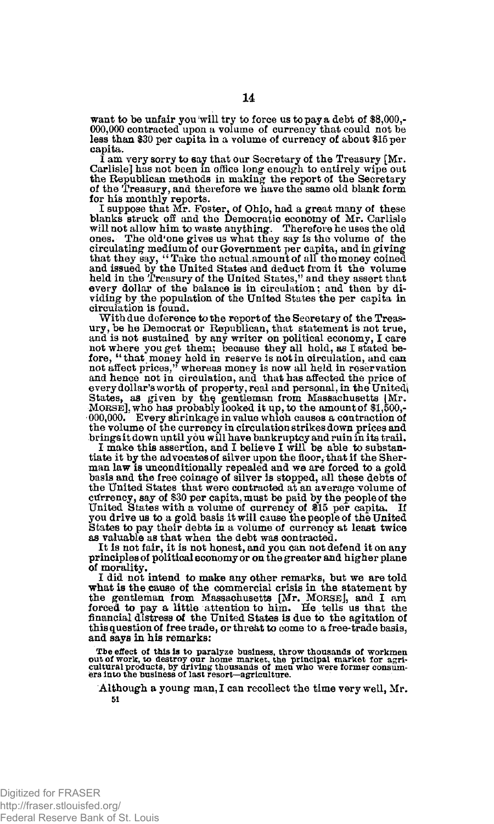want to be unfair you will try to force us to pay a debt of \$8,000,- 000,000 contracted upon a volume of currency that could not be less than \$30 per capita in a volume of currency of about \$15 per capita.

I am very sorry to say that our Secretary of the Treasury [Mr. Carlisle] has not been in office long enough to entirely wipe out the Republican methods in making the report of the Secretary of the Treasury, and therefore we have the same old blank form for his monthly reports.

I suppose that Mr. Foster, of Ohio, had a great many of these<br>blanks struck off and the Democratic economy of Mr. Carlisle<br>will not allow him to waste anything. Therefore he uses the old<br>ones. The old'one gives us what the circulating medium of our Government per capita, and in giving<br>that they say, "Take the actual amount of all the money coined<br>and issued by the United States and deduct from it the volume<br>held in the Treasury of the United every dollar of the balance is in circulation; and then by dividing by the population of the United States the per capita in circulation is found.

With due deference to the report of the Secretary of the Treasury, be he Democrat or Republican, that statement is not true, and is not sustained by any writer on political economy, I care not where you get them; because they all hold, as I stated before, "that money held in reserve is not in circulation, and can not affect prices," whereas money is now all held in reservation and hence not in circulation, and that has affected the price of every dollar's worth of property, real and personal, in the United States, as given by the gentleman from Massachusetts [Mr. MORSE], who has probably looked it up, to the amount of \$1,500,-000,000. Every shrinkage in value which causes a contraction of the volume of the currency in circulation strikes down prices and brings it down until you will have bankruptcy and ruin in its trail.

I make this assertion, and I believe I will bo able to substantiate it by the advocates of silver upon the floor, that if the Sherman law is unconditionally repealed and we are forced to a gold basis and the free coinage of silver is stopped, all these debts of the United States that were contracted at an average volume of currency, say of \$30 per capita, must be paid by the people of the United States with a volume of currency of \$15 per capita. If you drive us to a gold basis it will cause the people of the United States to pay their debts in a volume of currency at least twice as valuable as that when the debt was contracted.

It is not fair, it is not honest, and you can not defend it on any principles of political economy or on the greater and higher plane of morality,

I did not intend to make any other remarks, but we are told what is the cause of the commercial crisis in the statement by the gentleman from Massachusetts [Mr. MORSE], and I am forced to pay a little attention to him. He tells us that the financial distress of the United States is due to the agitation of this question of free trade, or threat to come to a free-trade basis, and says in his remarks:

The effect of this is to paralyze business, throw thousands of workmen<br>out of work, to destroy our home market, the principal market for agri-<br>cultural products, by driving thousands of men who were former consum-<br>ers into

Although a young man, I can recollect the time very well, Mr. 51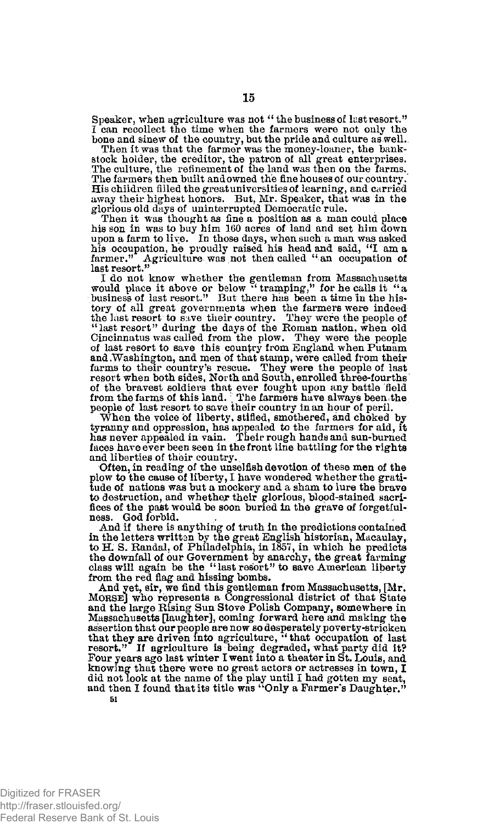Speaker, when agriculture was not " the business of last resort." I can recollect the time when the farmers were not only the

**15** 

bone and sinew of the country, but the pride and culture as well. Then it was that the farmer was the money-loaner, the bankstock holder, the creditor, the patron of all great enterprises. The culture, the refinement of the land was then on the farms. The farmers then built and owned the fine houses of our country. His children filled the great universities of learning, and carried away their highest honors. But, Mr. Speaker, that was in the glorious old days of uninterrupted. Democratic rule.

Then it was thought as fine a position as a man could place his son in was to buy him 160 acres of land and set him down upon a farm to live. In those days, when such a man was asked his occupation, he proudly raised his head and said, "I am a farmer." Agriculture was not then called "an occupation of last resort."

I do not know whether the gentleman from Massachusetts would place it above or below "tramping," for he calls it "a business of last resort." But there has been a time in the history of all great governments when the farmers were indeed<br>the last resort to save their country. They were the people of<br>"last resort" during the days of the Roman nation, when old<br>Cincinnatus was called from the plow. Th of last resort to save this country from England when Putnam and .Washington, and men of that stamp, were called from their farms to their country's rescue. They were the people of last resort when both sides, North and South, enrolled three-fourths of the bravest soldiers that ever fought upon any battle field from the farms of this land.; The farmers have always been the people of last resort to save their country in an hour of peril.

When the voice of liberty, stifled, smothered, and choked by tyranny and oppression, has appealed to the farmers for aid, it has never appealed in vain. Their rough hands and sun-burned faces have ever been seen in the front line battling for the rights and liberties of their country.

Often, in reading of the unselfish devotion of these men of the plow to the cause of liberty, I have wondered whether the gratitude of nations was but a mockery and a sham to lure the brave to destruction, and whether their glorious, blood-stained sacrifices of the past would be soon buried in the grave of forgetfulness. God forbid.

And if there is anything of truth in the predictions contained in the letters written by the great English historian, Macaulay, to H. S. Randal, of Philadelphia, in 1857, in which he predicts the downfall of bur Government by anarchy, the great farming class will again be the "last resort" to save American liberty from the red flag and hissing bombs.

And yet, sir, we find this gentleman from Massachusetts, [Mr. MORSEJ who represents a Congressional district of that State and the large Rising Sun Stove Polish Company, somewhere in Massachusetts [laughter], coming forward here and making the assertion that our people are now so desperately poverty-stricken<br>that they are driven into agriculture, "that occupation of last<br>resort." If agriculture is being degraded, what party did it?<br>Four years ago last winter I w knowing that there were no great actors or actresses in town, I did not look at the name of the play until I had gotten my seat, and then I found that its title was "Only a Farmer's Daughter."

Digitized for FRASER http://fraser.stlouisfed.org/ Federal Reserve Bank of St. Louis

**51**